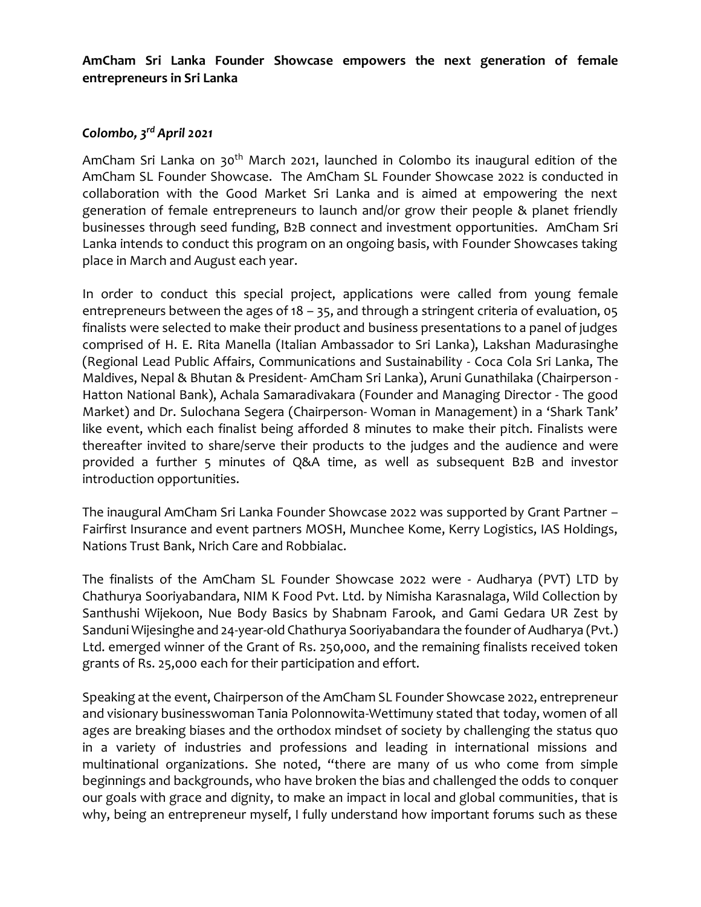**AmCham Sri Lanka Founder Showcase empowers the next generation of female entrepreneurs in Sri Lanka**

## *Colombo, 3 rd April 2021*

AmCham Sri Lanka on 30<sup>th</sup> March 2021, launched in Colombo its inaugural edition of the AmCham SL Founder Showcase. The AmCham SL Founder Showcase 2022 is conducted in collaboration with the Good Market Sri Lanka and is aimed at empowering the next generation of female entrepreneurs to launch and/or grow their people & planet friendly businesses through seed funding, B2B connect and investment opportunities. AmCham Sri Lanka intends to conduct this program on an ongoing basis, with Founder Showcases taking place in March and August each year.

In order to conduct this special project, applications were called from young female entrepreneurs between the ages of 18 – 35, and through a stringent criteria of evaluation, 05 finalists were selected to make their product and business presentations to a panel of judges comprised of H. E. Rita Manella (Italian Ambassador to Sri Lanka), Lakshan Madurasinghe (Regional Lead Public Affairs, Communications and Sustainability - Coca Cola Sri Lanka, The Maldives, Nepal & Bhutan & President- AmCham Sri Lanka), Aruni Gunathilaka (Chairperson - Hatton National Bank), Achala Samaradivakara (Founder and Managing Director - The good Market) and Dr. Sulochana Segera (Chairperson- Woman in Management) in a 'Shark Tank' like event, which each finalist being afforded 8 minutes to make their pitch. Finalists were thereafter invited to share/serve their products to the judges and the audience and were provided a further 5 minutes of Q&A time, as well as subsequent B2B and investor introduction opportunities.

The inaugural AmCham Sri Lanka Founder Showcase 2022 was supported by Grant Partner – Fairfirst Insurance and event partners MOSH, Munchee Kome, Kerry Logistics, IAS Holdings, Nations Trust Bank, Nrich Care and Robbialac.

The finalists of the AmCham SL Founder Showcase 2022 were - Audharya (PVT) LTD by Chathurya Sooriyabandara, NIM K Food Pvt. Ltd. by Nimisha Karasnalaga, Wild Collection by Santhushi Wijekoon, Nue Body Basics by Shabnam Farook, and Gami Gedara UR Zest by Sanduni Wijesinghe and 24-year-old Chathurya Sooriyabandara the founder of Audharya (Pvt.) Ltd. emerged winner of the Grant of Rs. 250,000, and the remaining finalists received token grants of Rs. 25,000 each for their participation and effort.

Speaking at the event, Chairperson of the AmCham SL Founder Showcase 2022, entrepreneur and visionary businesswoman Tania Polonnowita-Wettimuny stated that today, women of all ages are breaking biases and the orthodox mindset of society by challenging the status quo in a variety of industries and professions and leading in international missions and multinational organizations. She noted, "there are many of us who come from simple beginnings and backgrounds, who have broken the bias and challenged the odds to conquer our goals with grace and dignity, to make an impact in local and global communities, that is why, being an entrepreneur myself, I fully understand how important forums such as these